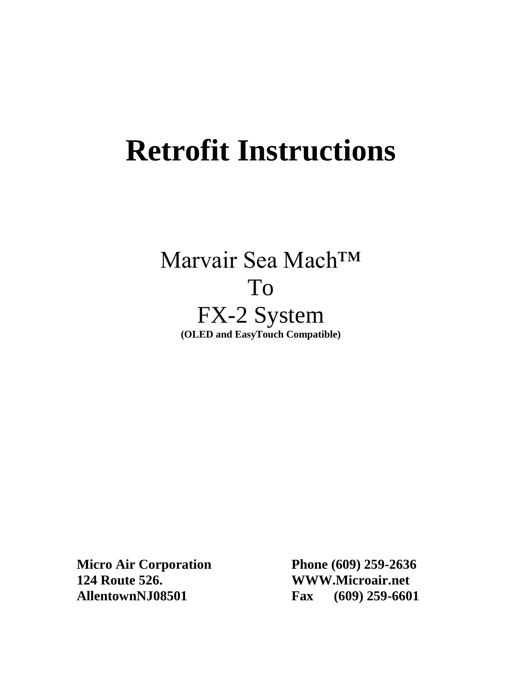# **Retrofit Instructions**

# Marvair Sea Mach™ To FX-2 System **(OLED and EasyTouch Compatible)**

**Micro Air Corporation Phone (609) 259-2636 124 Route 526. WWW.Microair.net AllentownNJ08501 Fax (609) 259-6601**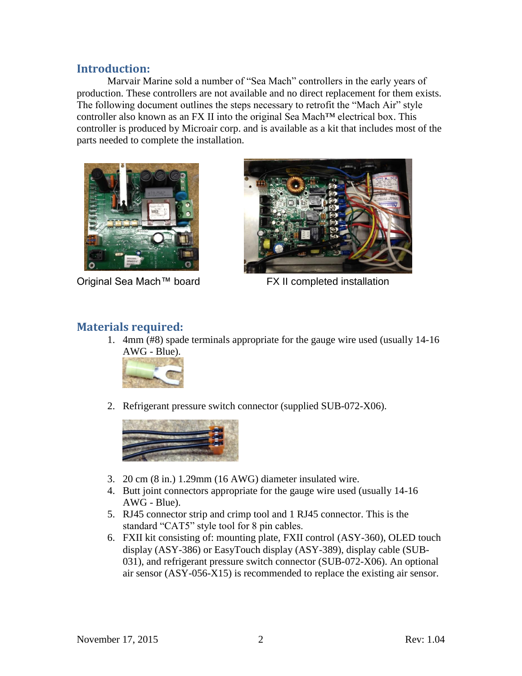#### **Introduction:**

Marvair Marine sold a number of "Sea Mach" controllers in the early years of production. These controllers are not available and no direct replacement for them exists. The following document outlines the steps necessary to retrofit the "Mach Air" style controller also known as an FX II into the original Sea Mach™ electrical box. This controller is produced by Microair corp. and is available as a kit that includes most of the parts needed to complete the installation.



Original Sea Mach™ board FX II completed installation



#### **Materials required:**

1. 4mm (#8) spade terminals appropriate for the gauge wire used (usually 14-16 AWG - Blue).



2. Refrigerant pressure switch connector (supplied SUB-072-X06).



- 3. 20 cm (8 in.) 1.29mm (16 AWG) diameter insulated wire.
- 4. Butt joint connectors appropriate for the gauge wire used (usually 14-16 AWG - Blue).
- 5. RJ45 connector strip and crimp tool and 1 RJ45 connector. This is the standard "CAT5" style tool for 8 pin cables.
- 6. FXII kit consisting of: mounting plate, FXII control (ASY-360), OLED touch display (ASY-386) or EasyTouch display (ASY-389), display cable (SUB-031), and refrigerant pressure switch connector (SUB-072-X06). An optional air sensor (ASY-056-X15) is recommended to replace the existing air sensor.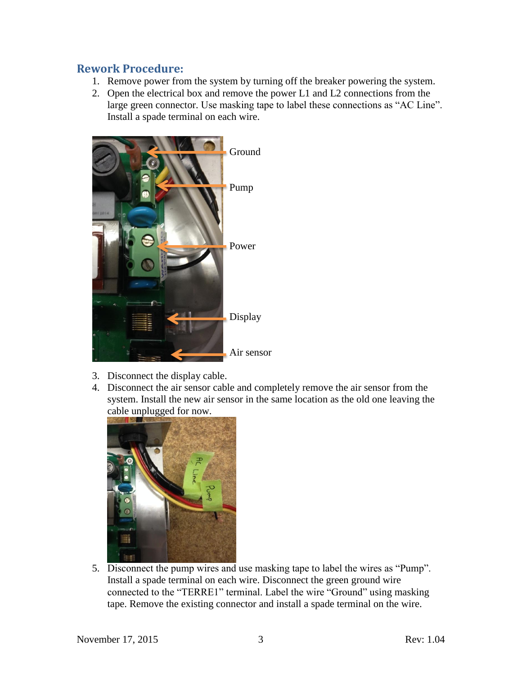#### **Rework Procedure:**

- 1. Remove power from the system by turning off the breaker powering the system.
- 2. Open the electrical box and remove the power L1 and L2 connections from the large green connector. Use masking tape to label these connections as "AC Line". Install a spade terminal on each wire.



- 3. Disconnect the display cable.
- 4. Disconnect the air sensor cable and completely remove the air sensor from the system. Install the new air sensor in the same location as the old one leaving the cable unplugged for now.



5. Disconnect the pump wires and use masking tape to label the wires as "Pump". Install a spade terminal on each wire. Disconnect the green ground wire connected to the "TERRE1" terminal. Label the wire "Ground" using masking tape. Remove the existing connector and install a spade terminal on the wire.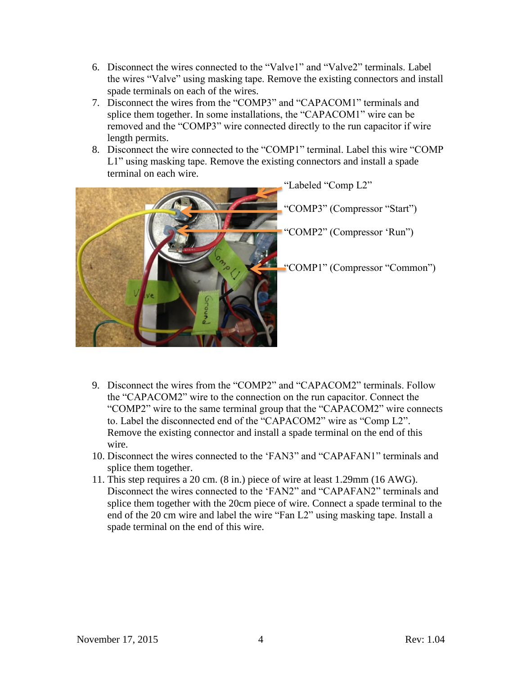- 6. Disconnect the wires connected to the "Valve1" and "Valve2" terminals. Label the wires "Valve" using masking tape. Remove the existing connectors and install spade terminals on each of the wires.
- 7. Disconnect the wires from the "COMP3" and "CAPACOM1" terminals and splice them together. In some installations, the "CAPACOM1" wire can be removed and the "COMP3" wire connected directly to the run capacitor if wire length permits.
- 8. Disconnect the wire connected to the "COMP1" terminal. Label this wire "COMP L1" using masking tape. Remove the existing connectors and install a spade terminal on each wire.



- 9. Disconnect the wires from the "COMP2" and "CAPACOM2" terminals. Follow the "CAPACOM2" wire to the connection on the run capacitor. Connect the "COMP2" wire to the same terminal group that the "CAPACOM2" wire connects to. Label the disconnected end of the "CAPACOM2" wire as "Comp L2". Remove the existing connector and install a spade terminal on the end of this wire.
- 10. Disconnect the wires connected to the "FAN3" and "CAPAFAN1" terminals and splice them together.
- 11. This step requires a 20 cm. (8 in.) piece of wire at least 1.29mm (16 AWG). Disconnect the wires connected to the "FAN2" and "CAPAFAN2" terminals and splice them together with the 20cm piece of wire. Connect a spade terminal to the end of the 20 cm wire and label the wire "Fan L2" using masking tape. Install a spade terminal on the end of this wire.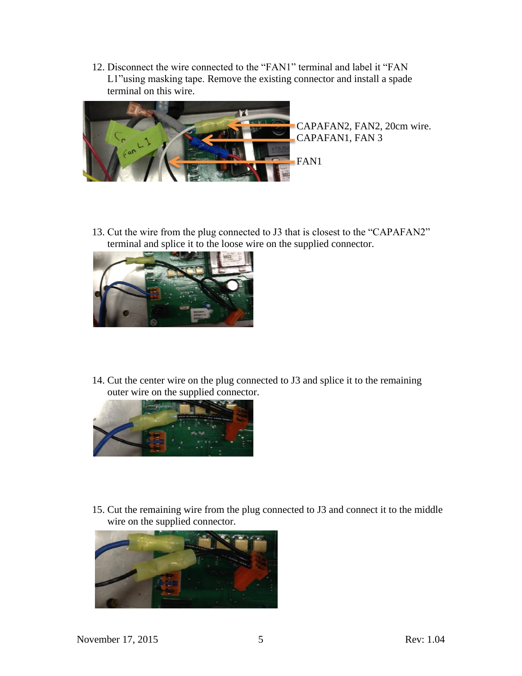12. Disconnect the wire connected to the "FAN1" terminal and label it "FAN L1"using masking tape. Remove the existing connector and install a spade terminal on this wire.



CAPAFAN2, FAN2, 20cm wire. CAPAFAN1, FAN 3

13. Cut the wire from the plug connected to J3 that is closest to the "CAPAFAN2" terminal and splice it to the loose wire on the supplied connector.



14. Cut the center wire on the plug connected to J3 and splice it to the remaining outer wire on the supplied connector.



15. Cut the remaining wire from the plug connected to J3 and connect it to the middle wire on the supplied connector.

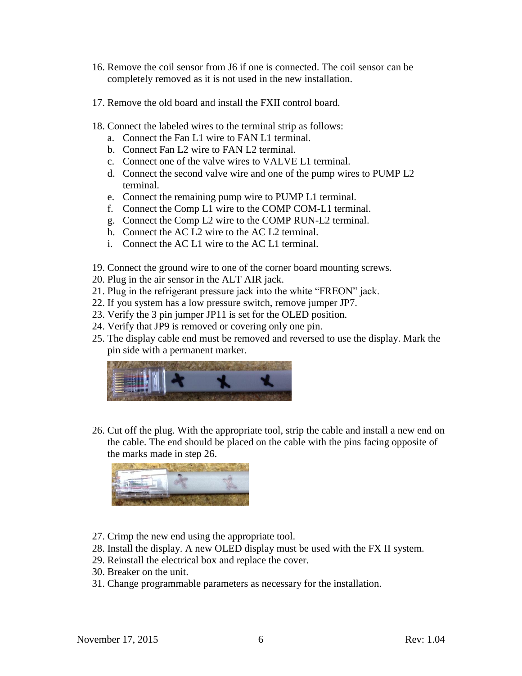- 16. Remove the coil sensor from J6 if one is connected. The coil sensor can be completely removed as it is not used in the new installation.
- 17. Remove the old board and install the FXII control board.
- 18. Connect the labeled wires to the terminal strip as follows:
	- a. Connect the Fan L1 wire to FAN L1 terminal.
	- b. Connect Fan L2 wire to FAN L2 terminal.
	- c. Connect one of the valve wires to VALVE L1 terminal.
	- d. Connect the second valve wire and one of the pump wires to PUMP L2 terminal.
	- e. Connect the remaining pump wire to PUMP L1 terminal.
	- f. Connect the Comp L1 wire to the COMP COM-L1 terminal.
	- g. Connect the Comp L2 wire to the COMP RUN-L2 terminal.
	- h. Connect the AC L2 wire to the AC L2 terminal.
	- i. Connect the AC L1 wire to the AC L1 terminal.
- 19. Connect the ground wire to one of the corner board mounting screws.
- 20. Plug in the air sensor in the ALT AIR jack.
- 21. Plug in the refrigerant pressure jack into the white "FREON" jack.
- 22. If you system has a low pressure switch, remove jumper JP7.
- 23. Verify the 3 pin jumper JP11 is set for the OLED position.
- 24. Verify that JP9 is removed or covering only one pin.
- 25. The display cable end must be removed and reversed to use the display. Mark the pin side with a permanent marker.



26. Cut off the plug. With the appropriate tool, strip the cable and install a new end on the cable. The end should be placed on the cable with the pins facing opposite of the marks made in step 26.



- 27. Crimp the new end using the appropriate tool.
- 28. Install the display. A new OLED display must be used with the FX II system.
- 29. Reinstall the electrical box and replace the cover.
- 30. Breaker on the unit.
- 31. Change programmable parameters as necessary for the installation.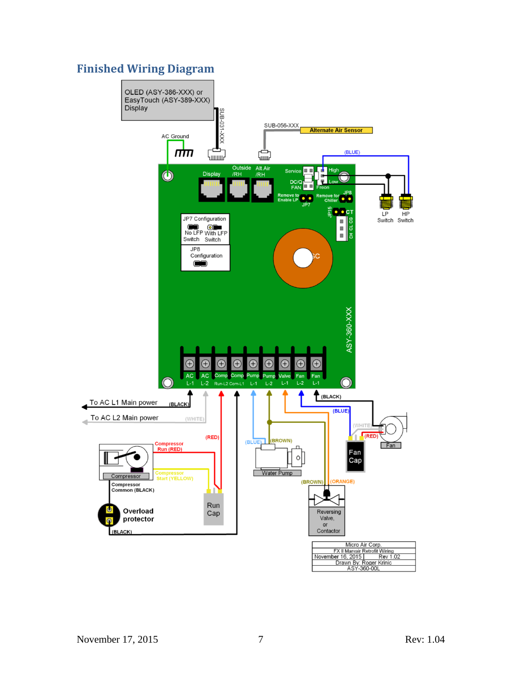## **Finished Wiring Diagram**